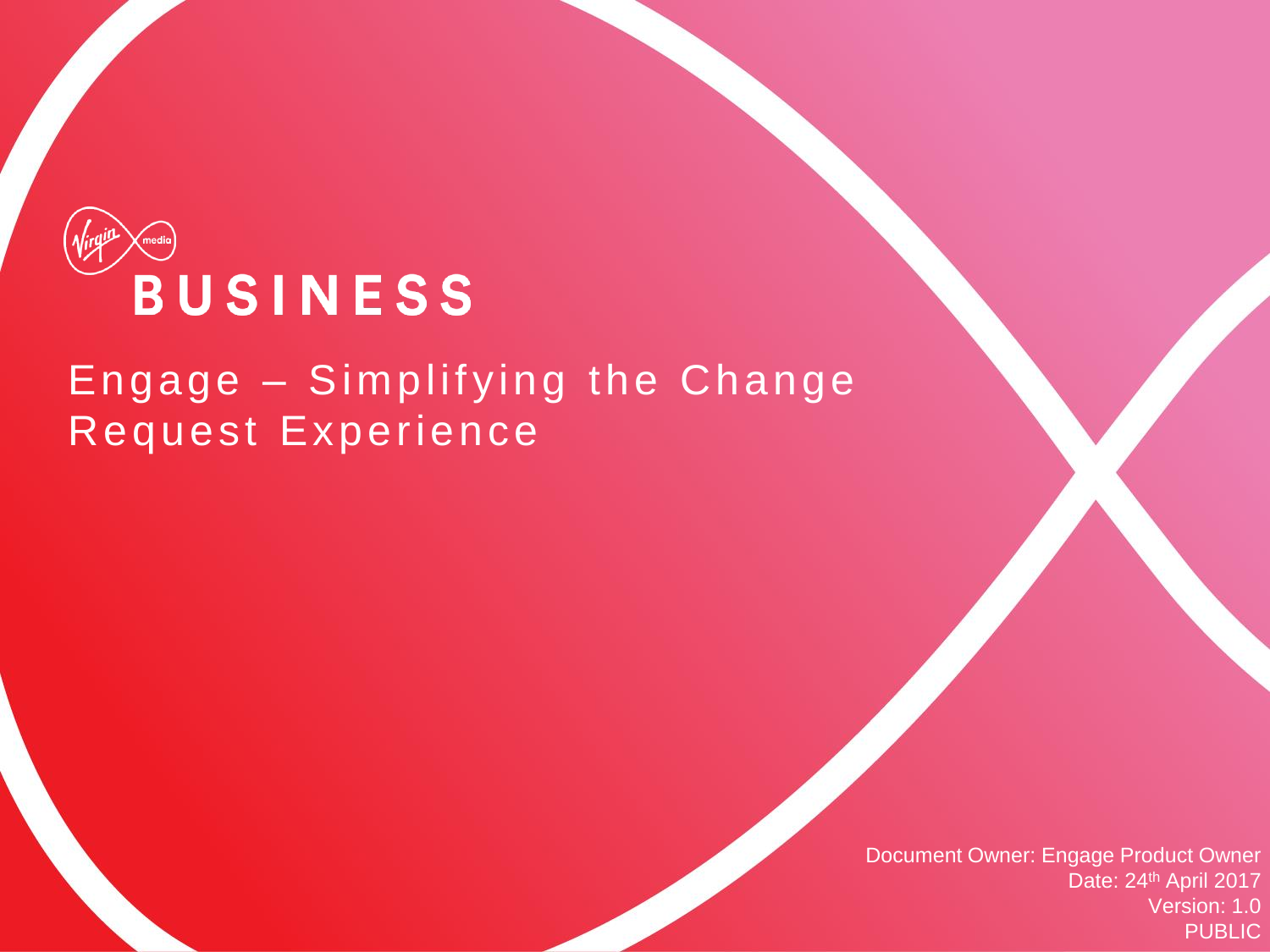

#### Engage – Simplifying the Change Request Experience

Document Owner: Engage Product Owner Date: 24th April 2017 Version: 1.0 PUBLIC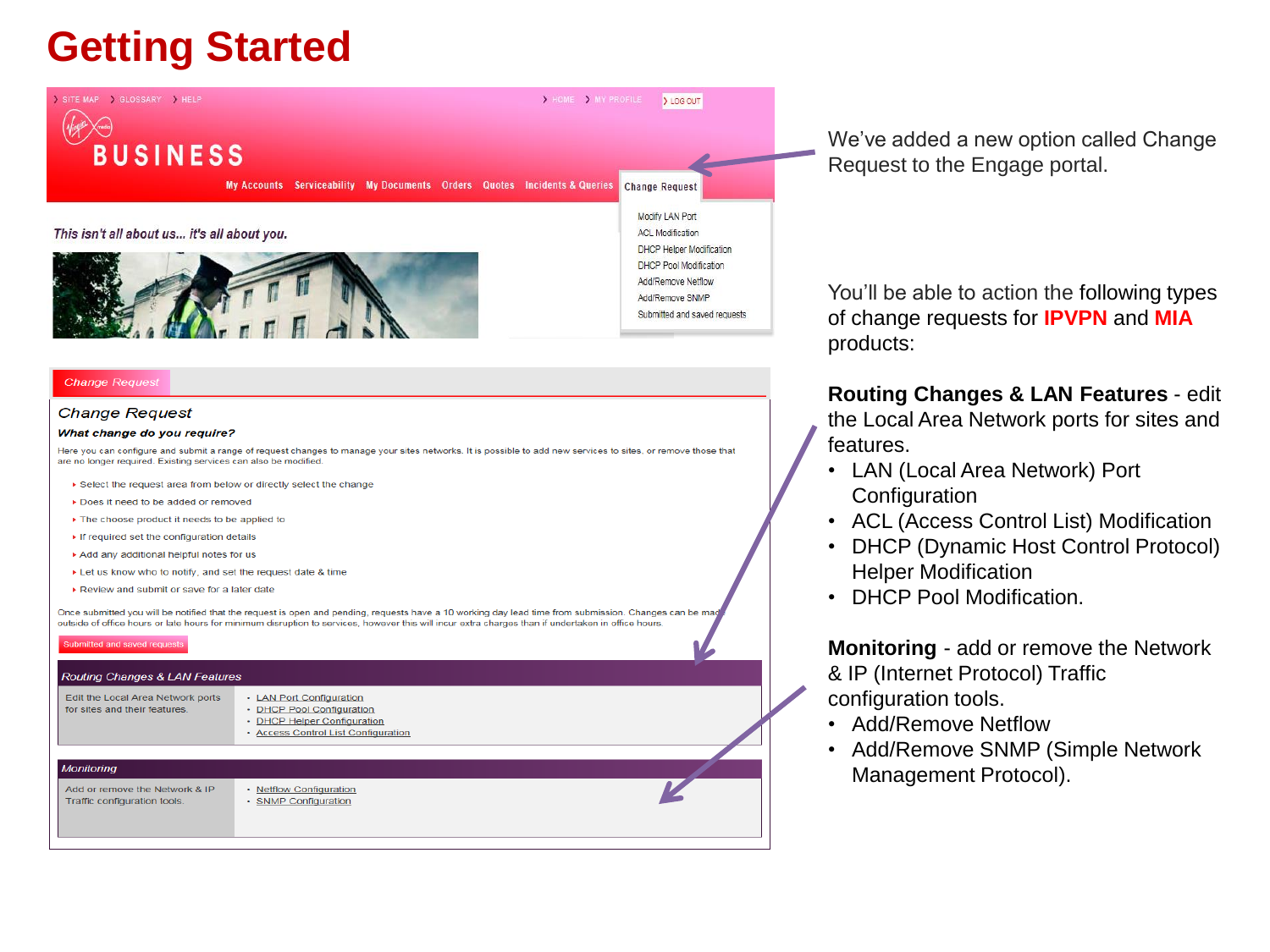### **Getting Started**



#### **Change Request**

#### **Change Request**

#### What change do you require?

Here you can configure and submit a range of request changes to manage your sites networks. It is possible to add new services to sites, or remove those that are no longer required. Existing services can also be modified.

- Select the request area from below or directly select the change
- ▶ Does it need to be added or removed
- The choose product it needs to be applied to
- If required set the configuration details
- Add any additional helpful notes for us
- ▶ Let us know who to notify, and set the request date & time
- Review and submit or save for a later date

Once submitted you will be notified that the request is open and pending, requests have a 10 working day lead time from submission. Changes can outside of office hours or late hours for minimum disruption to services, however this will incur extra charges than if undertaken in office hours.

| Submitted and saved requests |  |  |
|------------------------------|--|--|
|                              |  |  |
|                              |  |  |

| <b>Routing Changes &amp; LAN Features</b>                          |                                                                                                                             |  |
|--------------------------------------------------------------------|-----------------------------------------------------------------------------------------------------------------------------|--|
| Edit the Local Area Network ports<br>for sites and their features. | • LAN Port Configuration<br>• DHCP Pool Configuration<br>• DHCP Helper Configuration<br>• Access Control List Configuration |  |
|                                                                    |                                                                                                                             |  |
| <b>Monitoring</b>                                                  |                                                                                                                             |  |
| Add or remove the Network & IP<br>Traffic configuration tools.     | • Netflow Configuration<br>• SNMP Configuration                                                                             |  |

We've added a new option called Change Request to the Engage portal.

You'll be able to action the following types of change requests for **IPVPN** and **MIA** products:

**Routing Changes & LAN Features** - edit the Local Area Network ports for sites and features.

- LAN (Local Area Network) Port **Configuration**
- ACL (Access Control List) Modification
- DHCP (Dynamic Host Control Protocol) Helper Modification
- DHCP Pool Modification.

**Monitoring** - add or remove the Network & IP (Internet Protocol) Traffic configuration tools.

- Add/Remove Netflow
- Add/Remove SNMP (Simple Network Management Protocol).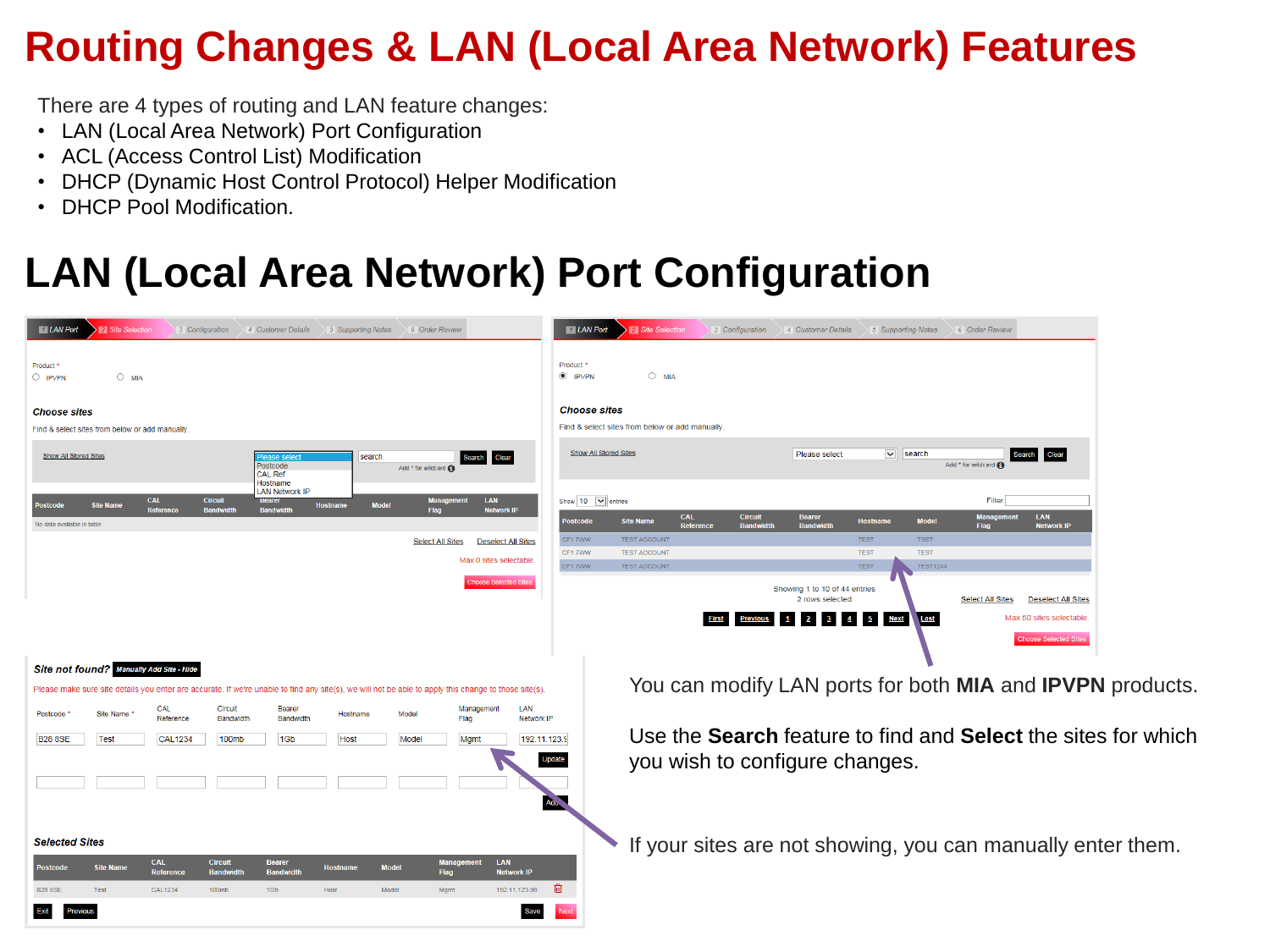#### **Routing Changes & LAN (Local Area Network) Features**

There are 4 types of routing and LAN feature changes:

- LAN (Local Area Network) Port Configuration
- ACL (Access Control List) Modification
- DHCP (Dynamic Host Control Protocol) Helper Modification
- DHCP Pool Modification.

# **LAN (Local Area Network) Port Configuration**

| <b>El LAN Port</b><br>2 Site Selection<br>4 Customer Details<br>5 Supporting Notes 6 Order Review<br>3 Configuration                                                                                                                                                                                                                                                   | <b>MILAN Port</b><br><b>2</b> Site Selection<br>3 Configuration<br>4 Customer Details<br>5 Supporting Notes<br>6 Order Review                                                                                              |
|------------------------------------------------------------------------------------------------------------------------------------------------------------------------------------------------------------------------------------------------------------------------------------------------------------------------------------------------------------------------|----------------------------------------------------------------------------------------------------------------------------------------------------------------------------------------------------------------------------|
| Product <sup>3</sup><br>$\bigcirc$ MIA<br>$\bigcirc$ IPVPN                                                                                                                                                                                                                                                                                                             | Product *<br>$O$ MIA<br>$\odot$ IPVPN                                                                                                                                                                                      |
| <b>Choose sites</b><br>Find & select sites from below or add manually                                                                                                                                                                                                                                                                                                  | <b>Choose sites</b><br>Find & select sites from below or add manually                                                                                                                                                      |
| Show All Stored Sites<br>search<br><b>Clear</b><br>Search<br>lease selec<br>Postcode<br>Add * for wildcard G<br><b>CAL Ref</b>                                                                                                                                                                                                                                         | <b>Show All Stored Sites</b><br>$\overline{\mathbf{v}}$<br>Please select<br>search<br>Clear<br>Search<br>Add * for wildcard                                                                                                |
| Hostname<br><b>LAN Network IP</b><br><b>CAL</b><br><b>Circuit</b><br><b>LAN</b><br>Bearer<br><b>Site Name</b><br><b>Hostname</b><br><b>Model</b><br><b>Reference</b><br><b>Network IP</b><br><b>Randwir</b><br><b>Bandwid</b><br>Flag                                                                                                                                  | Show $10$ $\triangleright$ entries<br>Filter:<br>LAN<br>CAL<br><b>Circuit</b><br><b>Bearer</b><br><b>Hostname</b>                                                                                                          |
| No data available in table<br><b>Select All Sites</b><br><b>Deselect All Sites</b>                                                                                                                                                                                                                                                                                     | <b>Model</b><br><b>Postcode</b><br><b>Site Name</b><br>Reference<br>Bandwic<br><b>Bandwid</b><br><b>Network IP</b><br>Flag<br><b>TSET</b><br>CF1 7WW<br><b>TEST ACCOUNT</b><br><b>TEST</b>                                 |
| Max 0 sites selectable.                                                                                                                                                                                                                                                                                                                                                | <b>TEST</b><br>CF17WW<br><b>TEST ACCOUNT</b><br><b>TEST</b><br><b>TEST</b><br><b>TEST1244</b><br>CF17WW<br><b>TEST ACCOUNT</b>                                                                                             |
| <b>Choose Selected Sites</b>                                                                                                                                                                                                                                                                                                                                           | Showing 1 to 10 of 44 entries<br>2 rows selected<br><b>Select All Sites</b><br><b>Deselect All Sites</b><br>Max 50 sites selectable<br>5 Next<br><b>First</b><br>$\mathbf{B}$<br>$\blacksquare$<br>Last<br><b>Previous</b> |
| Site not found? Manually Add Site - Hide                                                                                                                                                                                                                                                                                                                               | Choose Selected Site<br>You can modify LAN ports for both MIA and IPVPN products.                                                                                                                                          |
| Please make sure site details you enter are accurate. If we're unable to find any site(s), we will not be able to apply this change to those site(s).<br>Circuit<br>LAN<br><b>CAL</b><br>Bearer<br>Management                                                                                                                                                          |                                                                                                                                                                                                                            |
| Postcode<br>Site Name<br>Hostname<br>Model<br>Reference<br>Bandwidth<br>Bandwidth<br>Network IP<br>Flag<br>192.11.123.9<br><b>Test</b><br><b>CAL1234</b><br>100mb<br>1Gb<br><b>B28 8SE</b><br>Host<br>Model<br><b>Mgmt</b>                                                                                                                                             | Use the <b>Search</b> feature to find and <b>Select</b> the sites for which<br>you wish to configure changes.<br>Update                                                                                                    |
| <b>Selected Sites</b><br><b>CAL</b><br><b>Circuit</b><br>LAN<br><b>Bearer</b><br><b>Mana</b><br>ment<br><b>Site Name</b><br><b>Model</b><br><b>Postcode</b><br><b>Hostname</b><br>Reference<br><b>Bandwidth</b><br><b>Bandwidth</b><br>Flag<br><b>Network IP</b><br>192.11.123.98<br><b>CAL1234</b><br>100mb<br>Model<br><b>B28 8SE</b><br>Test<br>1Gb<br>Host<br>Mgmt | Adu.<br>If your sites are not showing, you can manually enter them.<br>面                                                                                                                                                   |
| Exit<br>Previous<br><b>Save</b>                                                                                                                                                                                                                                                                                                                                        |                                                                                                                                                                                                                            |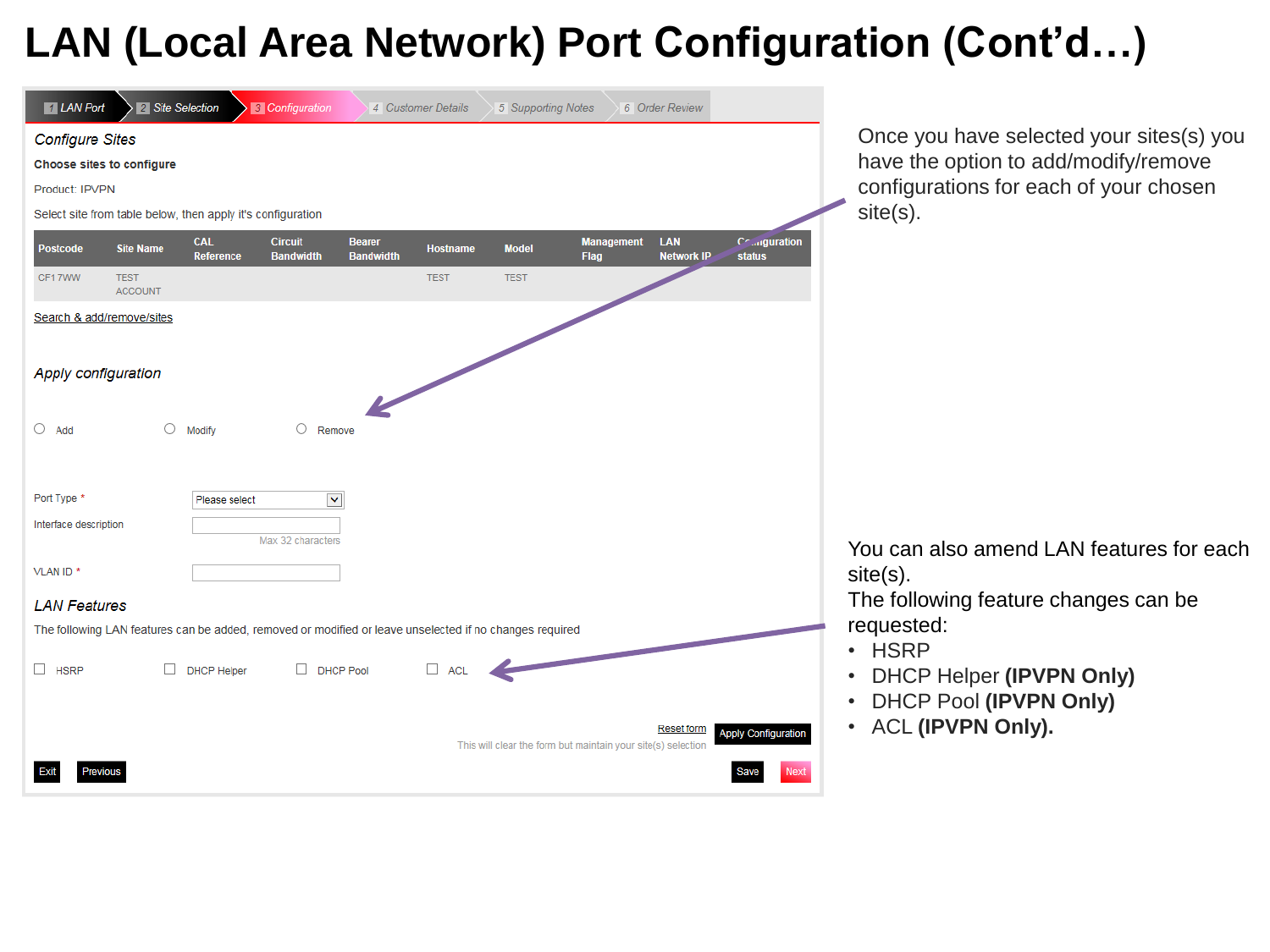### **LAN (Local Area Network) Port Configuration (Cont'd…)**

| <b>1</b> LAN Port      | 2 Site Selection              |                                                             | <b>3</b> Configuration                                                                                  |                                   | 4 Customer Details | 5 Supporting Notes |                                                              | 6 Order Review           |                                |
|------------------------|-------------------------------|-------------------------------------------------------------|---------------------------------------------------------------------------------------------------------|-----------------------------------|--------------------|--------------------|--------------------------------------------------------------|--------------------------|--------------------------------|
| <b>Configure Sites</b> |                               |                                                             |                                                                                                         |                                   |                    |                    |                                                              |                          |                                |
|                        | Choose sites to configure     |                                                             |                                                                                                         |                                   |                    |                    |                                                              |                          |                                |
| Product: IPVPN         |                               |                                                             |                                                                                                         |                                   |                    |                    |                                                              |                          |                                |
|                        |                               | Select site from table below, then apply it's configuration |                                                                                                         |                                   |                    |                    |                                                              |                          |                                |
| <b>Postcode</b>        | <b>Site Name</b>              | <b>CAL</b><br><b>Reference</b>                              | <b>Circuit</b><br><b>Bandwidth</b>                                                                      | <b>Bearer</b><br><b>Bandwidth</b> | <b>Hostname</b>    | <b>Model</b>       | <b>Management</b><br><b>Flag</b>                             | LAN<br><b>Network IP</b> | Collaguration<br><b>status</b> |
| CF17WW                 | <b>TEST</b><br><b>ACCOUNT</b> |                                                             |                                                                                                         |                                   | <b>TEST</b>        | <b>TEST</b>        |                                                              |                          |                                |
|                        | Search & add/remove/sites     |                                                             |                                                                                                         |                                   |                    |                    |                                                              |                          |                                |
| Apply configuration    |                               |                                                             |                                                                                                         |                                   |                    |                    |                                                              |                          |                                |
| О<br>Add               | О                             | Modify                                                      | O<br>Remove                                                                                             |                                   |                    |                    |                                                              |                          |                                |
| Port Type *            |                               | Please select                                               | $\blacktriangledown$                                                                                    |                                   |                    |                    |                                                              |                          |                                |
| Interface description  |                               |                                                             | Max 32 characters                                                                                       |                                   |                    |                    |                                                              |                          |                                |
| VLAN ID <sup>*</sup>   |                               |                                                             |                                                                                                         |                                   |                    |                    |                                                              |                          |                                |
| <b>LAN Features</b>    |                               |                                                             |                                                                                                         |                                   |                    |                    |                                                              |                          |                                |
|                        |                               |                                                             | The following LAN features can be added, removed or modified or leave unselected if no changes required |                                   |                    |                    |                                                              |                          |                                |
| □<br><b>HSRP</b>       | п                             | <b>DHCP Helper</b>                                          | $\Box$ DHCP Pool                                                                                        |                                   | $\Box$ ACL         |                    |                                                              |                          |                                |
|                        |                               |                                                             |                                                                                                         |                                   |                    |                    | This will clear the form but maintain your site(s) selection | <b>Reset form</b>        | <b>Apply Configuration</b>     |
|                        | <b>Previous</b>               |                                                             |                                                                                                         |                                   |                    |                    |                                                              |                          | <b>Next</b>                    |

Once you have selected your sites(s) you have the option to add/modify/remove configurations for each of your chosen site(s).

You can also amend LAN features for each site(s).

The following feature changes can be requested:

- HSRP
- DHCP Helper **(IPVPN Only)**
- DHCP Pool **(IPVPN Only)**
- ACL **(IPVPN Only).**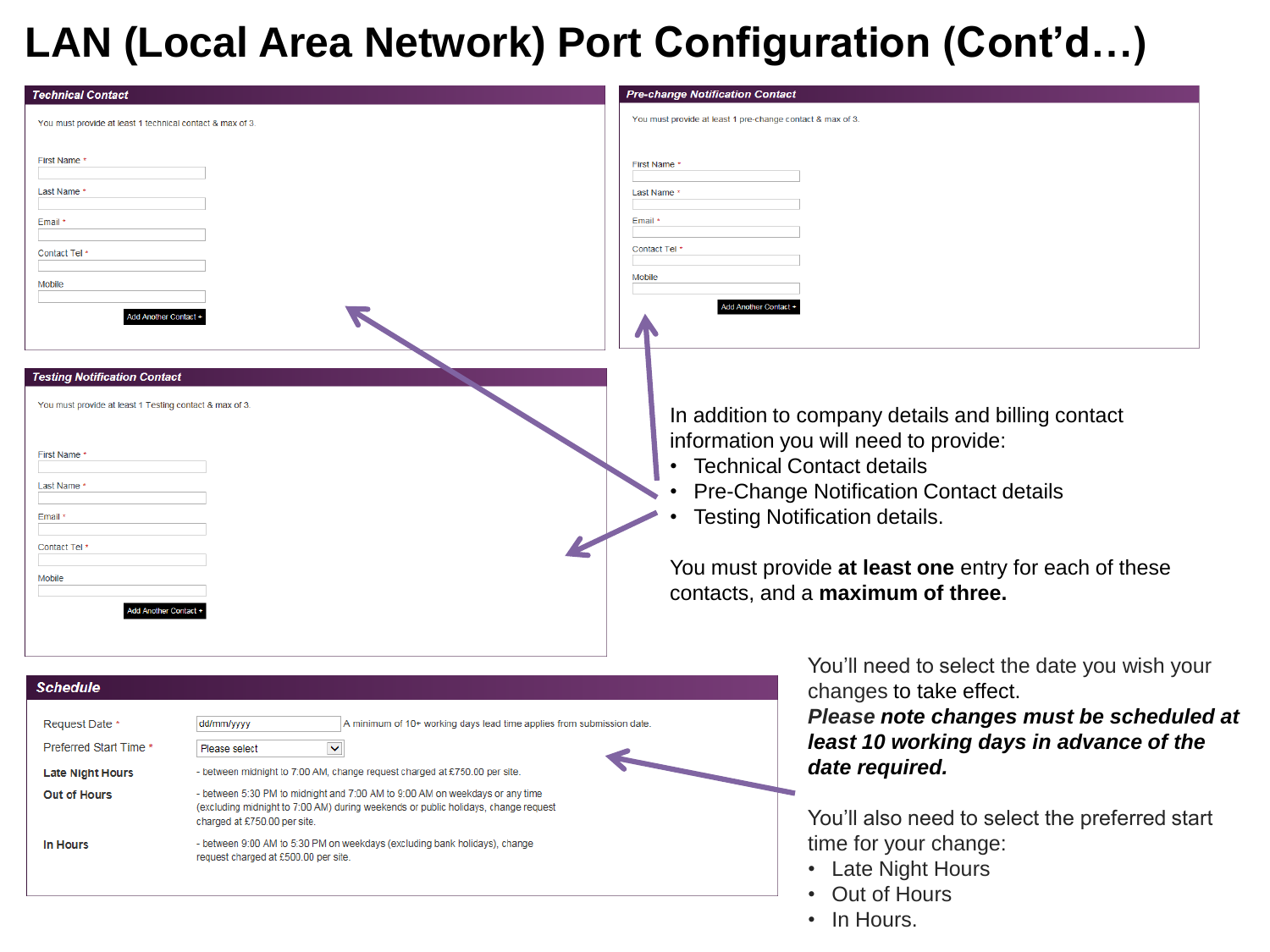### **LAN (Local Area Network) Port Configuration (Cont'd…)**

| <b>Technical Contact</b>                                                                                                                                                                                |                                                                                                                                                                                                                                                                                                                                                                                                                                                                                                       | <b>Pre-change Notification Contact</b>                                                                                                                                                                                                                                                                           |
|---------------------------------------------------------------------------------------------------------------------------------------------------------------------------------------------------------|-------------------------------------------------------------------------------------------------------------------------------------------------------------------------------------------------------------------------------------------------------------------------------------------------------------------------------------------------------------------------------------------------------------------------------------------------------------------------------------------------------|------------------------------------------------------------------------------------------------------------------------------------------------------------------------------------------------------------------------------------------------------------------------------------------------------------------|
| You must provide at least 1 technical contact & max of 3.                                                                                                                                               |                                                                                                                                                                                                                                                                                                                                                                                                                                                                                                       | You must provide at least 1 pre-change contact & max of 3.                                                                                                                                                                                                                                                       |
| First Name<br>Last Name<br>Email *<br>Contact Tel<br>Mobile<br>dd Another Contact +                                                                                                                     |                                                                                                                                                                                                                                                                                                                                                                                                                                                                                                       | First Name '<br>Last Name<br>Email<br><b>Contact Tel</b><br>Mobile<br>Add Another Contact +                                                                                                                                                                                                                      |
| <b>Testing Notification Contact</b><br>You must provide at least 1 Testing contact & max of 3.<br>First Name *<br>Last Name *<br>Email *<br>Contact Tel <sup>,</sup><br>Mobile<br>Add Another Contact + |                                                                                                                                                                                                                                                                                                                                                                                                                                                                                                       | In addition to company details and billing contact<br>information you will need to provide:<br><b>Technical Contact details</b><br>Pre-Change Notification Contact details<br><b>Testing Notification details.</b><br>You must provide at least one entry for each of these<br>contacts, and a maximum of three. |
| <b>Schedule</b><br>Request Date *<br>dd/mm/yyyy<br>Preferred Start Time *<br>Please select<br><b>Late Night Hours</b><br><b>Out of Hours</b><br>In Hours                                                | A minimum of 10+ working days lead time applies from submission date<br>$\blacktriangledown$<br>- between midnight to 7:00 AM, change request charged at £750.00 per site<br>- between 5:30 PM to midnight and 7:00 AM to 9:00 AM on weekdays or any time<br>(excluding midnight to 7:00 AM) during weekends or public holidays, change request<br>charged at £750.00 per site.<br>- between 9:00 AM to 5:30 PM on weekdays (excluding bank holidays), change<br>request charged at £500.00 per site. | You'll need to select the date you wish your<br>changes to take effect.<br>Please note changes must be scheduled at<br>least 10 working days in advance of the<br>date required.<br>You'll also need to select the preferred start<br>time for your change:<br>• Late Night Hours<br>• Out of Hours              |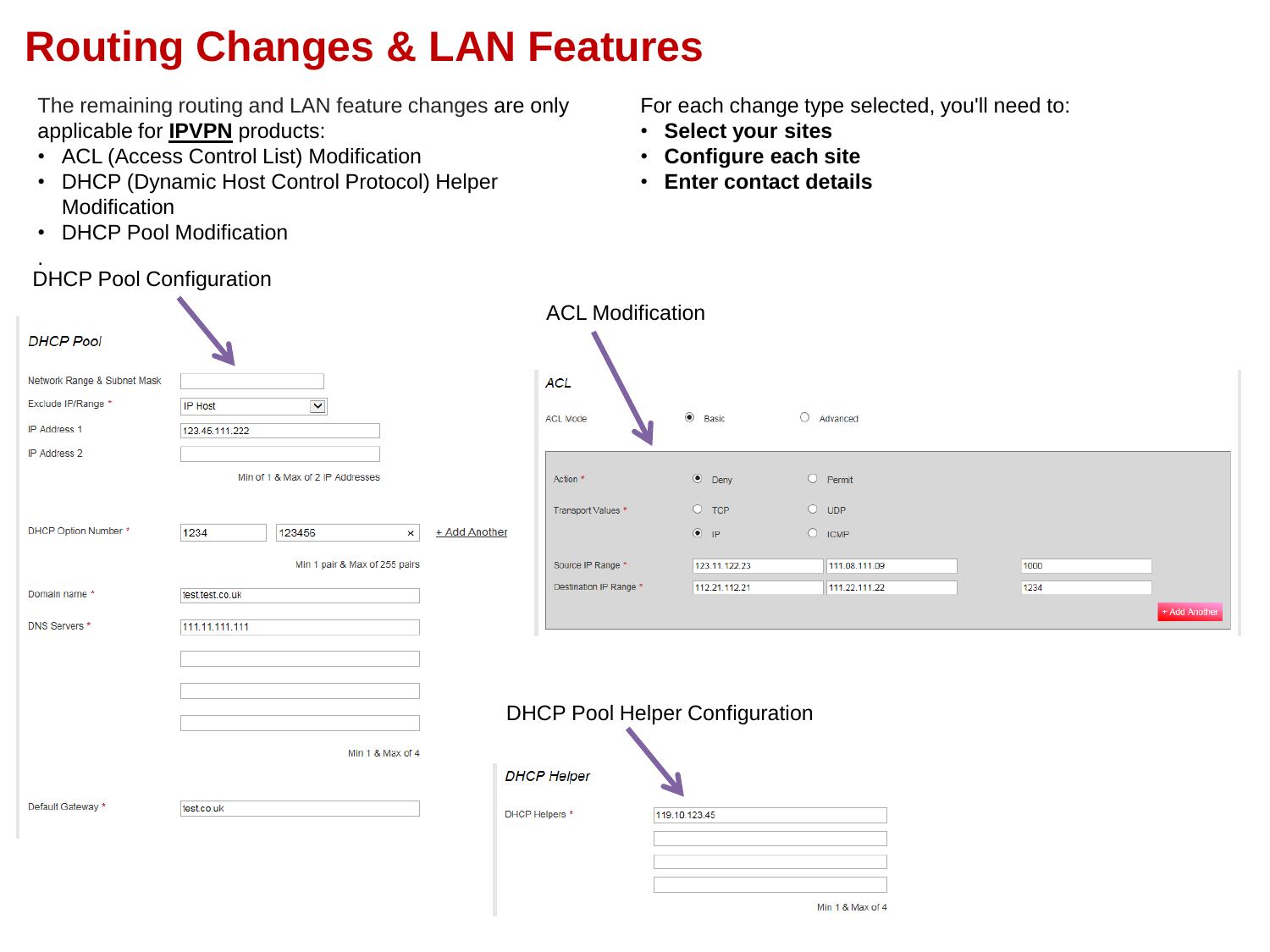# **Routing Changes & LAN Features**

The remaining routing and LAN feature changes are only applicable for **IPVPN** products:

- ACL (Access Control List) Modification
- DHCP (Dynamic Host Control Protocol) Helper **Modification**
- DHCP Pool Modification

DHCP Pool Configuration

.

For each change type selected, you'll need to:

Min 1 & Max of 4

- **Select your sites**
- **Configure each site**
- **Enter contact details**

| <b>DHCP Pool</b>                                  |                                                   |                | <b>ACL Modification</b>               |               |                     |      |
|---------------------------------------------------|---------------------------------------------------|----------------|---------------------------------------|---------------|---------------------|------|
| Network Range & Subnet Mask<br>Exclude IP/Range * | $\blacktriangledown$<br>IP Host                   |                | <b>ACL</b>                            |               |                     |      |
| <b>IP Address 1</b>                               | 123.45.111.222                                    |                | <b>ACL Mode</b>                       | $\odot$ Basic | $\circ$<br>Advanced |      |
| IP Address 2                                      | Min of 1 & Max of 2 IP Addresses                  |                | Action *                              | $\odot$ Deny  | O Permit            |      |
|                                                   |                                                   |                | Transport Values *                    | $O$ TCP       | $O$ UDP             |      |
| DHCP Option Number *                              | 1234<br>123456<br>+ Add Another<br>$\pmb{\times}$ |                |                                       | $\circ$ ip    | $O$ ICMP            |      |
|                                                   | Min 1 pair & Max of 255 pairs                     |                | Source IP Range *                     | 123.11.122.23 | 111.08.111.09       | 1000 |
| Domain name *                                     | test.test.co.uk                                   |                | Destination IP Range *                | 112.21.112.21 | 111.22.111.22       | 1234 |
| DNS Servers *                                     | 111.11.111.111                                    |                |                                       |               |                     |      |
|                                                   |                                                   |                | <b>DHCP Pool Helper Configuration</b> |               |                     |      |
|                                                   | Min 1 & Max of 4                                  |                |                                       |               |                     |      |
|                                                   |                                                   |                | <b>DHCP Helper</b>                    |               |                     |      |
| Default Gateway *                                 | test.co.uk                                        | DHCP Helpers * |                                       | 119.10.123.45 |                     |      |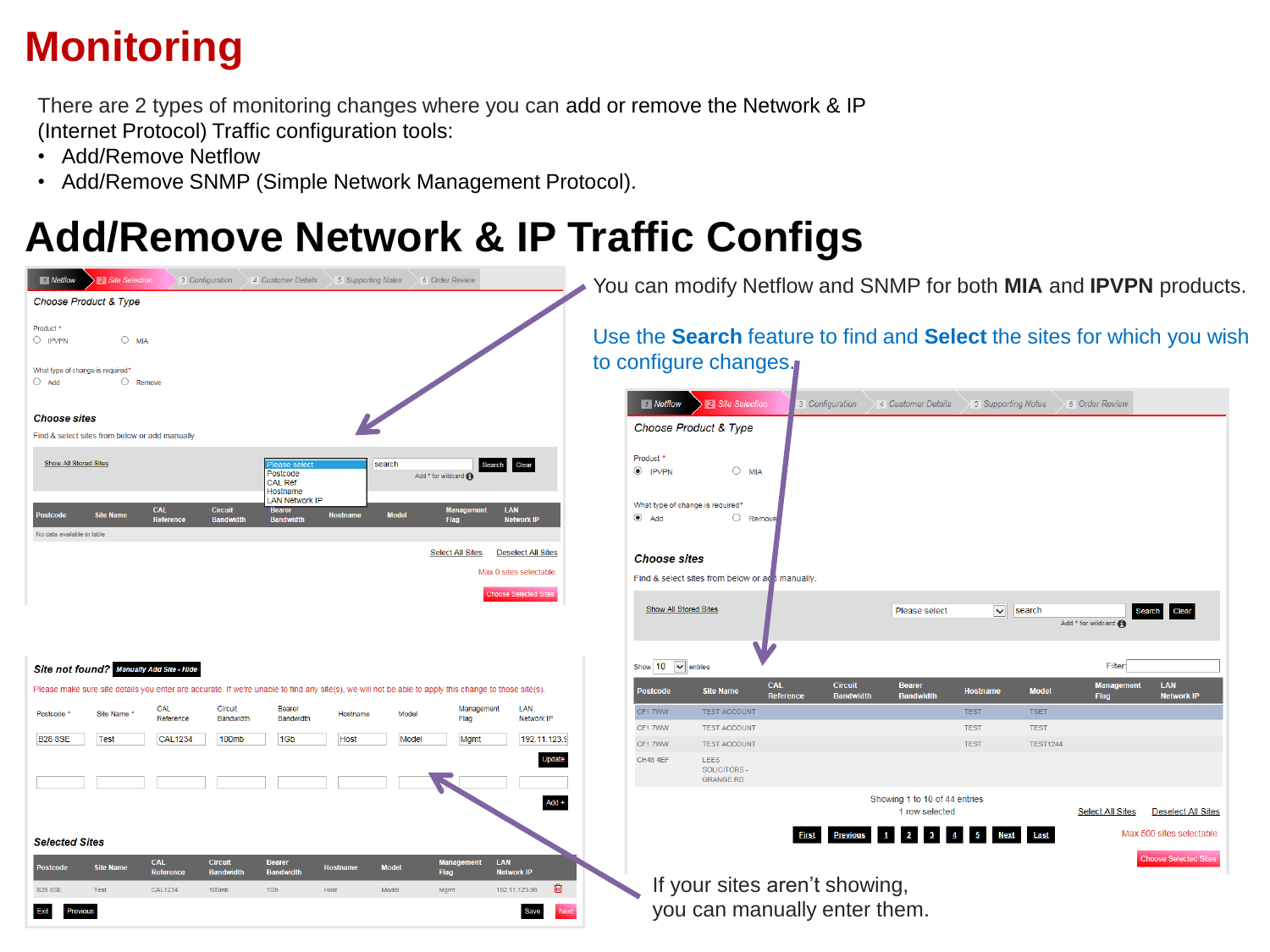# **Monitoring**

There are 2 types of monitoring changes where you can add or remove the Network & IP (Internet Protocol) Traffic configuration tools:

- Add/Remove Netflow
- Add/Remove SNMP (Simple Network Management Protocol).

### **Add/Remove Network & IP Traffic Configs**

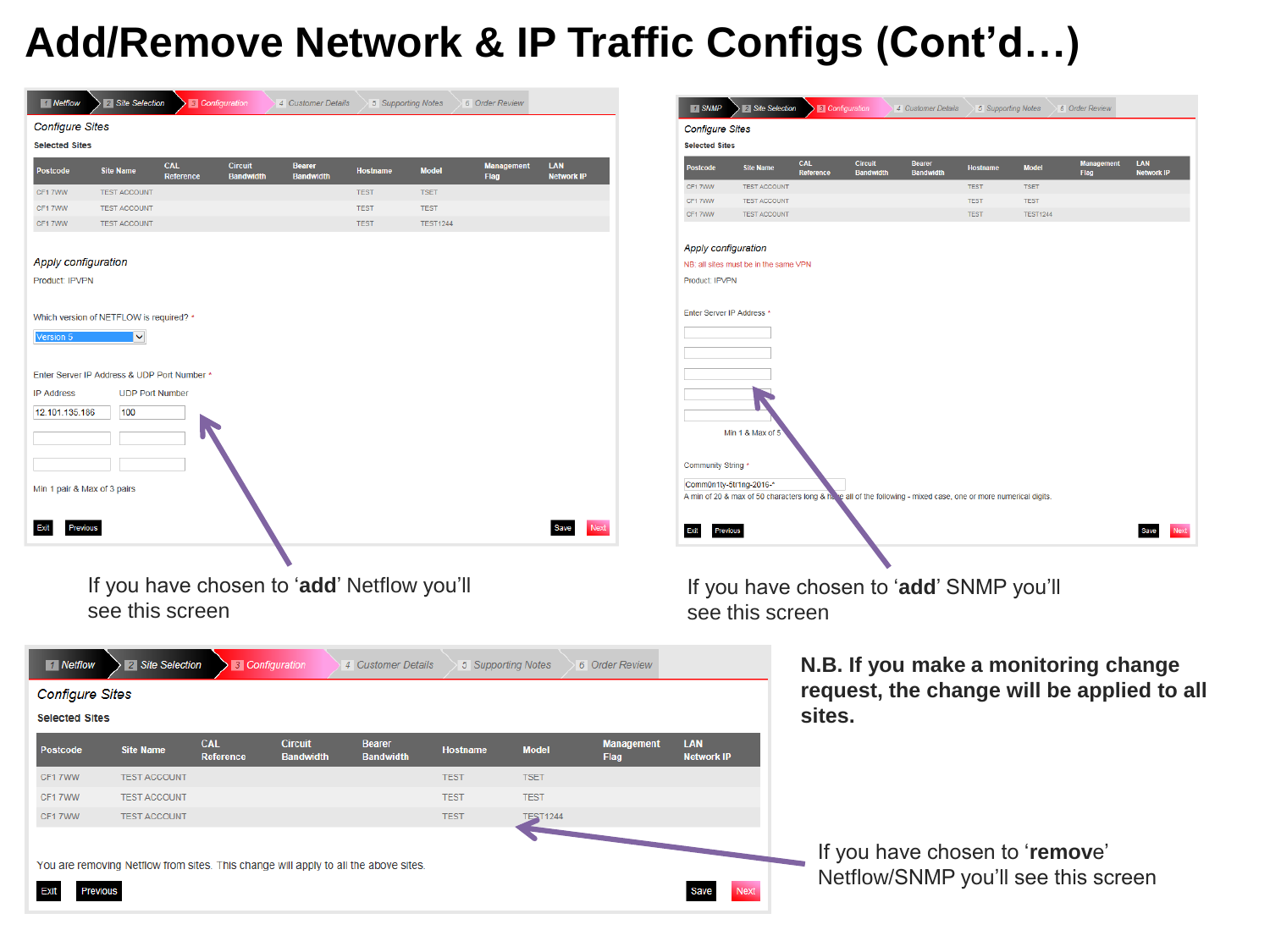### **Add/Remove Network & IP Traffic Configs (Cont'd…)**

| 1 Netflow                   | 2 Site Selection<br>3 Configuratio                                                  |                                  | 4 Customer Details              | 5 Supporting Notes |                 | 6 Order Review     |                          |                   | <b>1</b> SNMP              | 2 Site Selection                           |            | <b>B</b> Configurat | 4 Customer Details                                                                                             | 5 Supporting Notes         |                            | 6 Order Review |                                            |
|-----------------------------|-------------------------------------------------------------------------------------|----------------------------------|---------------------------------|--------------------|-----------------|--------------------|--------------------------|-------------------|----------------------------|--------------------------------------------|------------|---------------------|----------------------------------------------------------------------------------------------------------------|----------------------------|----------------------------|----------------|--------------------------------------------|
| <b>Configure Sites</b>      |                                                                                     |                                  |                                 |                    |                 |                    |                          |                   | <b>Configure Sites</b>     |                                            |            |                     |                                                                                                                |                            |                            |                |                                            |
| <b>Selected Sites</b>       |                                                                                     |                                  |                                 |                    |                 |                    |                          |                   | <b>Selected Sites</b>      |                                            |            |                     |                                                                                                                |                            |                            |                |                                            |
| <b>Postcode</b>             | <b>CAL</b><br><b>Site Name</b><br>Reference                                         | <b>Circuit</b><br><b>Randwig</b> | <b>Bearer</b><br><b>Randwid</b> | <b>Hostname</b>    | <b>Model</b>    | Flag               | LAN<br><b>Network IP</b> |                   | <b>Postcode</b>            | <b>Site Name</b>                           | <b>CAL</b> | <b>Circuit</b>      | <b>Bandy</b>                                                                                                   | Hostname                   | <b>Model</b>               |                | LAN<br><b>Network IP</b>                   |
| CF17WW                      | <b>TEST ACCOUNT</b>                                                                 |                                  |                                 | <b>TEST</b>        | <b>TSET</b>     |                    |                          |                   | CF1 7WW<br>CF17WW          | <b>TEST ACCOUNT</b><br><b>TEST ACCOUNT</b> |            |                     |                                                                                                                | <b>TEST</b><br><b>TEST</b> | <b>TSET</b><br><b>TEST</b> |                |                                            |
| CF17WW                      | <b>TEST ACCOUNT</b>                                                                 |                                  |                                 | <b>TEST</b>        | <b>TEST</b>     |                    |                          |                   | CF17WW                     | <b>TEST ACCOUNT</b>                        |            |                     |                                                                                                                | <b>TEST</b>                | <b>TEST1244</b>            |                |                                            |
| CF17WW                      | <b>TEST ACCOUNT</b>                                                                 |                                  |                                 | <b>TEST</b>        | <b>TEST1244</b> |                    |                          |                   |                            |                                            |            |                     |                                                                                                                |                            |                            |                |                                            |
|                             |                                                                                     |                                  |                                 |                    |                 |                    |                          |                   | <b>Apply configuration</b> |                                            |            |                     |                                                                                                                |                            |                            |                |                                            |
| <b>Apply configuration</b>  |                                                                                     |                                  |                                 |                    |                 |                    |                          |                   |                            | NB: all sites must be in the same VPN      |            |                     |                                                                                                                |                            |                            |                |                                            |
| Product: IPVPN              |                                                                                     |                                  |                                 |                    |                 |                    |                          |                   | Product: IPVPN             |                                            |            |                     |                                                                                                                |                            |                            |                |                                            |
|                             |                                                                                     |                                  |                                 |                    |                 |                    |                          |                   |                            |                                            |            |                     |                                                                                                                |                            |                            |                |                                            |
|                             | Which version of NETFLOW is required? *                                             |                                  |                                 |                    |                 |                    |                          |                   | Enter Server IP Address    |                                            |            |                     |                                                                                                                |                            |                            |                |                                            |
|                             | ∣∨                                                                                  |                                  |                                 |                    |                 |                    |                          |                   |                            |                                            |            |                     |                                                                                                                |                            |                            |                |                                            |
|                             |                                                                                     |                                  |                                 |                    |                 |                    |                          |                   |                            |                                            |            |                     |                                                                                                                |                            |                            |                |                                            |
|                             | Enter Server IP Address & UDP Port Number                                           |                                  |                                 |                    |                 |                    |                          |                   |                            |                                            |            |                     |                                                                                                                |                            |                            |                |                                            |
| <b>IP Address</b>           | <b>UDP Port Number</b>                                                              |                                  |                                 |                    |                 |                    |                          |                   |                            |                                            |            |                     |                                                                                                                |                            |                            |                |                                            |
| 12.101.135.186              | 100                                                                                 |                                  |                                 |                    |                 |                    |                          |                   |                            |                                            |            |                     |                                                                                                                |                            |                            |                |                                            |
|                             |                                                                                     |                                  |                                 |                    |                 |                    |                          |                   |                            | Min 1 & Max of                             |            |                     |                                                                                                                |                            |                            |                |                                            |
|                             |                                                                                     |                                  |                                 |                    |                 |                    |                          |                   |                            |                                            |            |                     |                                                                                                                |                            |                            |                |                                            |
|                             |                                                                                     |                                  |                                 |                    |                 |                    |                          |                   | Community String *         |                                            |            |                     |                                                                                                                |                            |                            |                |                                            |
|                             |                                                                                     |                                  |                                 |                    |                 |                    |                          |                   | Comm0n1ty-5tr1ng-2016-*    |                                            |            |                     |                                                                                                                |                            |                            |                |                                            |
| Min 1 pair & Max of 3 pairs |                                                                                     |                                  |                                 |                    |                 |                    |                          |                   |                            |                                            |            |                     | A min of 20 & max of 50 characters long & have all of the following - mixed case, one or more numerical digits |                            |                            |                |                                            |
|                             |                                                                                     |                                  |                                 |                    |                 |                    |                          |                   |                            |                                            |            |                     |                                                                                                                |                            |                            |                |                                            |
|                             |                                                                                     |                                  |                                 |                    |                 |                    | <b>Save</b>              | Next              | Exit                       | revious                                    |            |                     |                                                                                                                |                            |                            |                | Save                                       |
|                             |                                                                                     |                                  |                                 |                    |                 |                    |                          |                   |                            |                                            |            |                     |                                                                                                                |                            |                            |                |                                            |
|                             |                                                                                     |                                  |                                 |                    |                 |                    |                          |                   |                            |                                            |            |                     |                                                                                                                |                            |                            |                |                                            |
|                             | If you have chosen to 'add' Netflow you'll                                          |                                  |                                 |                    |                 |                    |                          |                   |                            |                                            |            |                     | If you have chosen to 'add' SNMP you'll                                                                        |                            |                            |                |                                            |
|                             | see this screen                                                                     |                                  |                                 |                    |                 |                    |                          |                   |                            | see this screen                            |            |                     |                                                                                                                |                            |                            |                |                                            |
|                             |                                                                                     |                                  |                                 |                    |                 |                    |                          |                   |                            |                                            |            |                     |                                                                                                                |                            |                            |                |                                            |
|                             |                                                                                     |                                  |                                 |                    |                 |                    |                          |                   |                            |                                            |            |                     |                                                                                                                |                            |                            |                |                                            |
| 1 Netflow                   | 2 Site Selection                                                                    | <b>3</b> Configuration           |                                 | 4 Customer Details |                 | 5 Supporting Notes |                          | 6 Order Review    |                            |                                            |            |                     | N.B. If you make a monitoring change                                                                           |                            |                            |                |                                            |
| <b>Configure Sites</b>      |                                                                                     |                                  |                                 |                    |                 |                    |                          |                   |                            |                                            |            |                     |                                                                                                                |                            |                            |                | request, the change will be applied to all |
| <b>Selected Sites</b>       |                                                                                     |                                  |                                 |                    |                 |                    |                          |                   |                            |                                            | sites.     |                     |                                                                                                                |                            |                            |                |                                            |
|                             |                                                                                     |                                  |                                 |                    |                 |                    |                          |                   |                            |                                            |            |                     |                                                                                                                |                            |                            |                |                                            |
| <b>Postcode</b>             | <b>CAL</b><br><b>Site Name</b>                                                      |                                  | <b>Circuit</b>                  | <b>Bearer</b>      |                 | <b>Hostname</b>    | <b>Model</b>             | <b>Management</b> | <b>LAN</b>                 |                                            |            |                     |                                                                                                                |                            |                            |                |                                            |
|                             |                                                                                     | <b>Reference</b>                 | <b>Bandwidth</b>                | <b>Bandwidth</b>   |                 |                    |                          | Flag              | <b>Network IP</b>          |                                            |            |                     |                                                                                                                |                            |                            |                |                                            |
| CF17WW                      | <b>TEST ACCOUNT</b>                                                                 |                                  |                                 |                    | <b>TEST</b>     |                    | <b>TSET</b>              |                   |                            |                                            |            |                     |                                                                                                                |                            |                            |                |                                            |
| CF17WW                      | <b>TEST ACCOUNT</b>                                                                 |                                  |                                 |                    | <b>TEST</b>     |                    | <b>TEST</b>              |                   |                            |                                            |            |                     |                                                                                                                |                            |                            |                |                                            |
| CF17WW                      | <b>TEST ACCOUNT</b>                                                                 |                                  |                                 |                    | <b>TEST</b>     |                    | <b>TEST</b><br>124       |                   |                            |                                            |            |                     |                                                                                                                |                            |                            |                |                                            |
|                             |                                                                                     |                                  |                                 |                    |                 |                    |                          |                   |                            |                                            |            |                     |                                                                                                                |                            |                            |                |                                            |
|                             |                                                                                     |                                  |                                 |                    |                 |                    |                          |                   |                            |                                            |            |                     | If you have chosen to 'remove'                                                                                 |                            |                            |                |                                            |
|                             | You are removing Netflow from sites. This change will apply to all the above sites. |                                  |                                 |                    |                 |                    |                          |                   |                            |                                            |            |                     | Netflow/SNMP you'll see this screen                                                                            |                            |                            |                |                                            |
|                             |                                                                                     |                                  |                                 |                    |                 |                    |                          |                   |                            |                                            |            |                     |                                                                                                                |                            |                            |                |                                            |
| Exit                        | <b>Previous</b>                                                                     |                                  |                                 |                    |                 |                    |                          |                   |                            | Nex                                        |            |                     |                                                                                                                |                            |                            |                |                                            |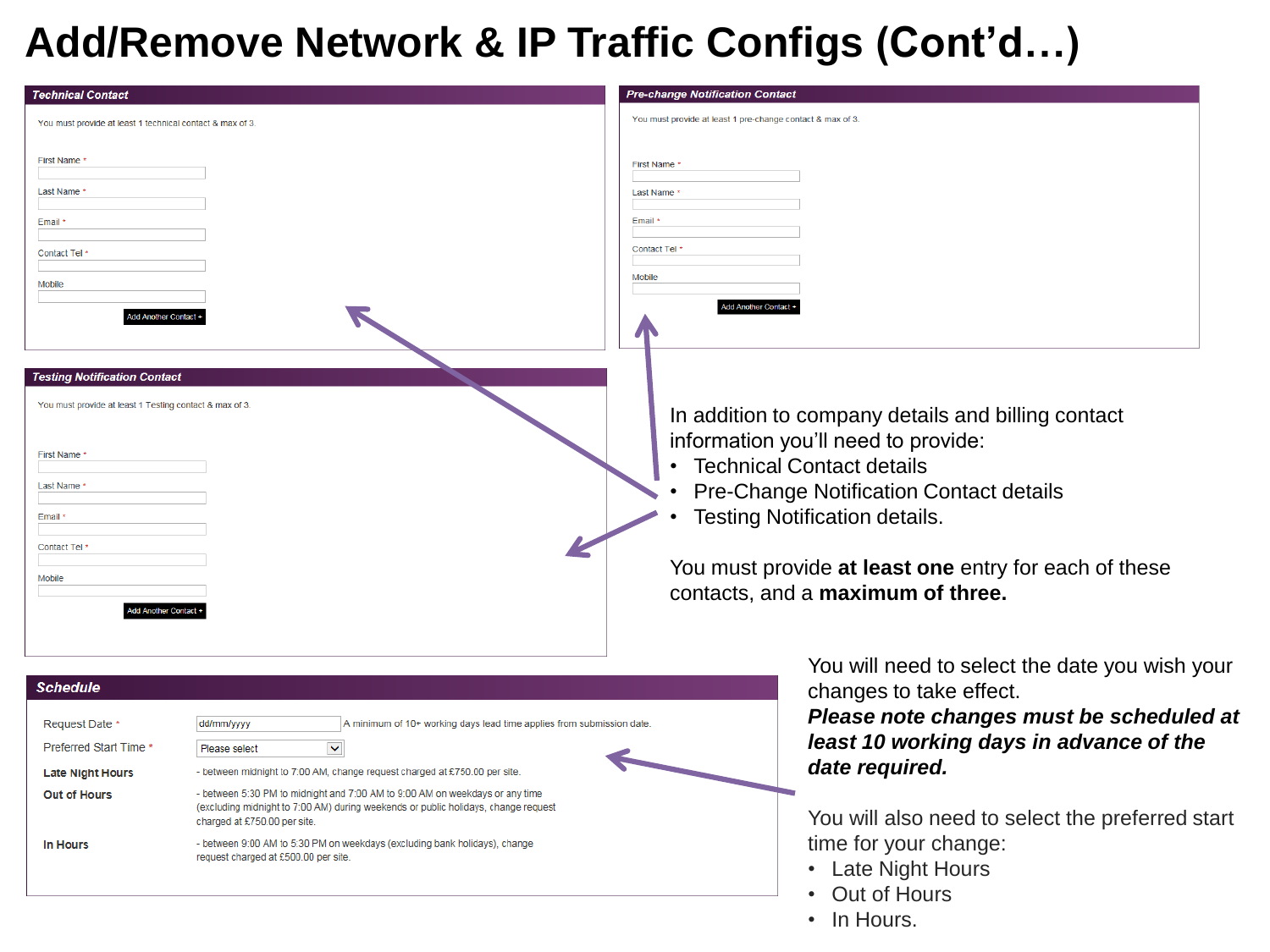#### **Add/Remove Network & IP Traffic Configs (Cont'd…)**

| <b>Technical Contact</b>                                                                                                                                                                                                                                                                                                                                                                                                  | <b>Pre-change Notification Contact</b>                                                                                                                                                                                                                                                                                                                                                                                                                                                                                                              |
|---------------------------------------------------------------------------------------------------------------------------------------------------------------------------------------------------------------------------------------------------------------------------------------------------------------------------------------------------------------------------------------------------------------------------|-----------------------------------------------------------------------------------------------------------------------------------------------------------------------------------------------------------------------------------------------------------------------------------------------------------------------------------------------------------------------------------------------------------------------------------------------------------------------------------------------------------------------------------------------------|
| You must provide at least 1 technical contact & max of 3.                                                                                                                                                                                                                                                                                                                                                                 | You must provide at least 1 pre-change contact & max of 3                                                                                                                                                                                                                                                                                                                                                                                                                                                                                           |
| First Name<br>Last Name<br>Email *<br>Contact Tel *<br>Mobile<br>dd Another Contact +                                                                                                                                                                                                                                                                                                                                     | <b>First Name</b><br>Last Name<br>Email<br>Contact Tel<br>Mobile<br>Add Another Contact +                                                                                                                                                                                                                                                                                                                                                                                                                                                           |
| <b>Testing Notification Contact</b><br>You must provide at least 1 Testing contact & max of 3.<br>First Name<br>Last Name *<br>Email *<br>Contact Tel <sup>,</sup><br>Mobile<br>Add Another Contact +                                                                                                                                                                                                                     | In addition to company details and billing contact<br>information you'll need to provide:<br><b>Technical Contact details</b><br>Pre-Change Notification Contact details<br><b>Testing Notification details.</b><br>You must provide at least one entry for each of these<br>contacts, and a maximum of three.                                                                                                                                                                                                                                      |
| <b>Schedule</b><br>Request Date<br>dd/mm/yyyy<br>Preferred Start Time *<br>$\blacktriangledown$<br>Please select<br>- between midnight to 7:00 AM, change request charged at £750.00 per site.<br><b>Late Night Hours</b><br><b>Out of Hours</b><br>charged at £750.00 per site.<br>- between 9:00 AM to 5:30 PM on weekdays (excluding bank holidays), change<br><b>In Hours</b><br>request charged at £500.00 per site. | You will need to select the date you wish your<br>changes to take effect.<br>Please note changes must be scheduled at<br>A minimum of 10+ working days lead time applies from submission date<br>least 10 working days in advance of the<br>date required.<br>- between 5:30 PM to midnight and 7:00 AM to 9:00 AM on weekdays or any time<br>(excluding midnight to 7:00 AM) during weekends or public holidays, change request<br>You will also need to select the preferred start<br>time for your change:<br>• Late Night Hours<br>Out of Hours |